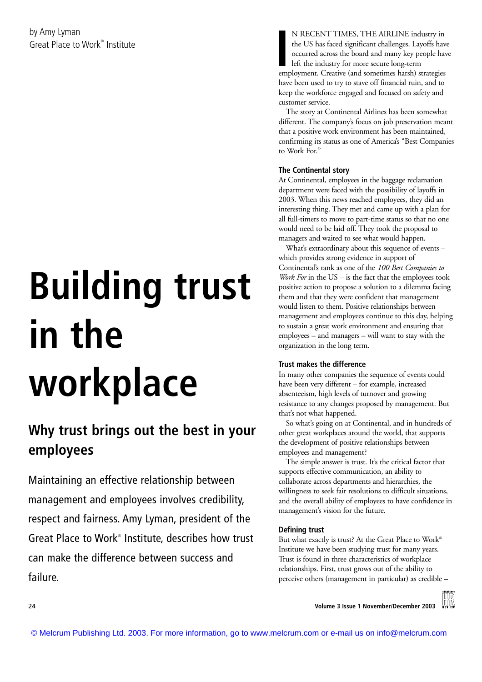# **Building trust in the workplace**

# **Why trust brings out the best in your employees**

Maintaining an effective relationship between management and employees involves credibility, respect and fairness. Amy Lyman, president of the Great Place to Work® Institute, describes how trust can make the difference between success and failure.

N RECENT TIMES, THE AIRLINE industry in the US has faced significant challenges. Layoffs have occurred across the board and many key people have left the industry for more secure long-term employment. Creative (and sometimes harsh) strategies have been used to try to stave off financial ruin, and to keep the workforce engaged and focused on safety and customer service.

The story at Continental Airlines has been somewhat different. The company's focus on job preservation meant that a positive work environment has been maintained, confirming its status as one of America's "Best Companies to Work For."

# **The Continental story**

At Continental, employees in the baggage reclamation department were faced with the possibility of layoffs in 2003. When this news reached employees, they did an interesting thing. They met and came up with a plan for all full-timers to move to part-time status so that no one would need to be laid off. They took the proposal to managers and waited to see what would happen.

What's extraordinary about this sequence of events – which provides strong evidence in support of Continental's rank as one of the *100 Best Companies to Work For* in the US – is the fact that the employees took positive action to propose a solution to a dilemma facing them and that they were confident that management would listen to them. Positive relationships between management and employees continue to this day, helping to sustain a great work environment and ensuring that employees – and managers – will want to stay with the organization in the long term.

## **Trust makes the difference**

In many other companies the sequence of events could have been very different – for example, increased absenteeism, high levels of turnover and growing resistance to any changes proposed by management. But that's not what happened.

So what's going on at Continental, and in hundreds of other great workplaces around the world, that supports the development of positive relationships between employees and management?

The simple answer is trust. It's the critical factor that supports effective communication, an ability to collaborate across departments and hierarchies, the willingness to seek fair resolutions to difficult situations, and the overall ability of employees to have confidence in management's vision for the future.

## **Defining trust**

But what exactly is trust? At the Great Place to Work® Institute we have been studying trust for many years. Trust is found in three characteristics of workplace relationships. First, trust grows out of the ability to perceive others (management in particular) as credible –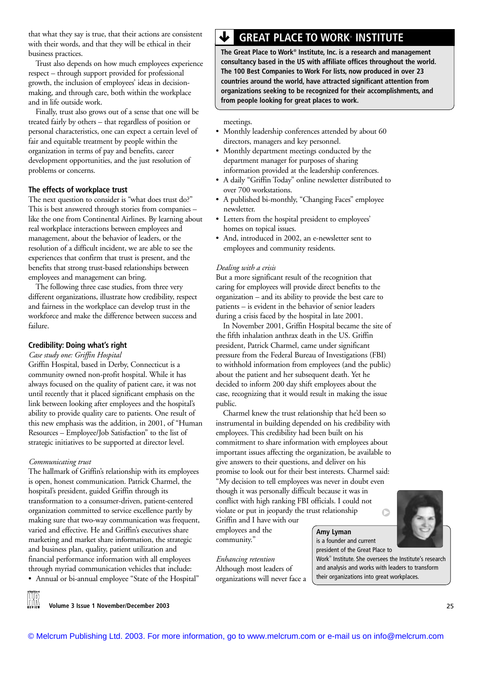that what they say is true, that their actions are consistent with their words, and that they will be ethical in their business practices.

Trust also depends on how much employees experience respect – through support provided for professional growth, the inclusion of employees' ideas in decisionmaking, and through care, both within the workplace and in life outside work.

Finally, trust also grows out of a sense that one will be treated fairly by others – that regardless of position or personal characteristics, one can expect a certain level of fair and equitable treatment by people within the organization in terms of pay and benefits, career development opportunities, and the just resolution of problems or concerns.

#### **The effects of workplace trust**

The next question to consider is "what does trust do?" This is best answered through stories from companies – like the one from Continental Airlines. By learning about real workplace interactions between employees and management, about the behavior of leaders, or the resolution of a difficult incident, we are able to see the experiences that confirm that trust is present, and the benefits that strong trust-based relationships between employees and management can bring.

The following three case studies, from three very different organizations, illustrate how credibility, respect and fairness in the workplace can develop trust in the workforce and make the difference between success and failure.

#### **Credibility: Doing what's right**

*Case study one: Griffin Hospital*

Griffin Hospital, based in Derby, Connecticut is a community owned non-profit hospital. While it has always focused on the quality of patient care, it was not until recently that it placed significant emphasis on the link between looking after employees and the hospital's ability to provide quality care to patients. One result of this new emphasis was the addition, in 2001, of "Human Resources – Employee/Job Satisfaction" to the list of strategic initiatives to be supported at director level.

#### *Communicating trust*

The hallmark of Griffin's relationship with its employees is open, honest communication. Patrick Charmel, the hospital's president, guided Griffin through its transformation to a consumer-driven, patient-centered organization committed to service excellence partly by making sure that two-way communication was frequent, varied and effective. He and Griffin's executives share marketing and market share information, the strategic and business plan, quality, patient utilization and financial performance information with all employees through myriad communication vehicles that include: • Annual or bi-annual employee "State of the Hospital"

 $\bigtriangledown$  **GREAT PLACE TO WORK**® INSTITUTE

**The Great Place to Work® Institute, Inc. is a research and management consultancy based in the US with affiliate offices throughout the world. The 100 Best Companies to Work For lists, now produced in over 23 countries around the world, have attracted significant attention from organizations seeking to be recognized for their accomplishments, and from people looking for great places to work.**

meetings.

- Monthly leadership conferences attended by about 60 directors, managers and key personnel.
- Monthly department meetings conducted by the department manager for purposes of sharing information provided at the leadership conferences.
- A daily "Griffin Today" online newsletter distributed to over 700 workstations.
- A published bi-monthly, "Changing Faces" employee newsletter.
- Letters from the hospital president to employees' homes on topical issues.
- And, introduced in 2002, an e-newsletter sent to employees and community residents.

#### *Dealing with a crisis*

But a more significant result of the recognition that caring for employees will provide direct benefits to the organization – and its ability to provide the best care to patients – is evident in the behavior of senior leaders during a crisis faced by the hospital in late 2001.

In November 2001, Griffin Hospital became the site of the fifth inhalation anthrax death in the US. Griffin president, Patrick Charmel, came under significant pressure from the Federal Bureau of Investigations (FBI) to withhold information from employees (and the public) about the patient and her subsequent death. Yet he decided to inform 200 day shift employees about the case, recognizing that it would result in making the issue public.

Charmel knew the trust relationship that he'd been so instrumental in building depended on his credibility with employees. This credibility had been built on his commitment to share information with employees about important issues affecting the organization, be available to give answers to their questions, and deliver on his promise to look out for their best interests. Charmel said: "My decision to tell employees was never in doubt even though it was personally difficult because it was in conflict with high ranking FBI officials. I could not violate or put in jeopardy the trust relationship  $\circ$ 

Griffin and I have with our employees and the community."

*Enhancing retention* Although most leaders of organizations will never face a

#### **Amy Lyman**  is a founder and current president of the Great Place to

Work® Institute. She oversees the Institute's research and analysis and works with leaders to transform their organizations into great workplaces.

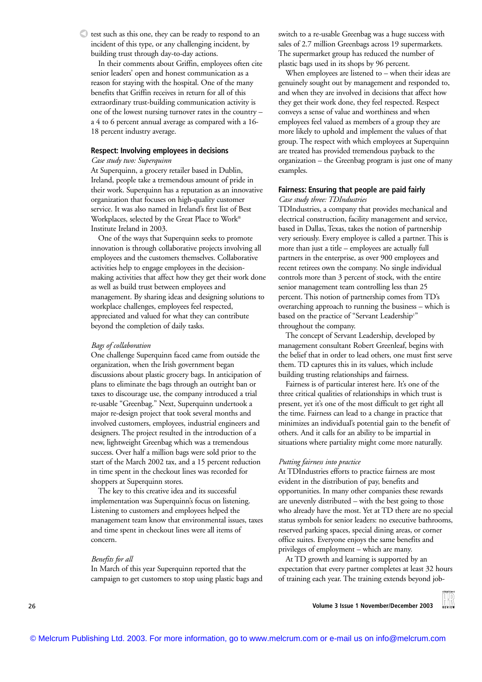$\triangle$  test such as this one, they can be ready to respond to an incident of this type, or any challenging incident, by building trust through day-to-day actions.

In their comments about Griffin, employees often cite senior leaders' open and honest communication as a reason for staying with the hospital. One of the many benefits that Griffin receives in return for all of this extraordinary trust-building communication activity is one of the lowest nursing turnover rates in the country – a 4 to 6 percent annual average as compared with a 16- 18 percent industry average.

#### **Respect: Involving employees in decisions**

*Case study two: Superquinn*

At Superquinn, a grocery retailer based in Dublin, Ireland, people take a tremendous amount of pride in their work. Superquinn has a reputation as an innovative organization that focuses on high-quality customer service. It was also named in Ireland's first list of Best Workplaces, selected by the Great Place to Work® Institute Ireland in 2003.

One of the ways that Superquinn seeks to promote innovation is through collaborative projects involving all employees and the customers themselves. Collaborative activities help to engage employees in the decisionmaking activities that affect how they get their work done as well as build trust between employees and management. By sharing ideas and designing solutions to workplace challenges, employees feel respected, appreciated and valued for what they can contribute beyond the completion of daily tasks.

#### *Bags of collaboration*

One challenge Superquinn faced came from outside the organization, when the Irish government began discussions about plastic grocery bags. In anticipation of plans to eliminate the bags through an outright ban or taxes to discourage use, the company introduced a trial re-usable "Greenbag." Next, Superquinn undertook a major re-design project that took several months and involved customers, employees, industrial engineers and designers. The project resulted in the introduction of a new, lightweight Greenbag which was a tremendous success. Over half a million bags were sold prior to the start of the March 2002 tax, and a 15 percent reduction in time spent in the checkout lines was recorded for shoppers at Superquinn stores.

The key to this creative idea and its successful implementation was Superquinn's focus on listening. Listening to customers and employees helped the management team know that environmental issues, taxes and time spent in checkout lines were all items of concern.

#### *Benefits for all*

In March of this year Superquinn reported that the campaign to get customers to stop using plastic bags and switch to a re-usable Greenbag was a huge success with sales of 2.7 million Greenbags across 19 supermarkets. The supermarket group has reduced the number of plastic bags used in its shops by 96 percent.

When employees are listened to – when their ideas are genuinely sought out by management and responded to, and when they are involved in decisions that affect how they get their work done, they feel respected. Respect conveys a sense of value and worthiness and when employees feel valued as members of a group they are more likely to uphold and implement the values of that group. The respect with which employees at Superquinn are treated has provided tremendous payback to the organization – the Greenbag program is just one of many examples.

#### **Fairness: Ensuring that people are paid fairly**

*Case study three: TDIndustries*

TDIndustries, a company that provides mechanical and electrical construction, facility management and service, based in Dallas, Texas, takes the notion of partnership very seriously. Every employee is called a partner. This is more than just a title – employees are actually full partners in the enterprise, as over 900 employees and recent retirees own the company. No single individual controls more than 3 percent of stock, with the entire senior management team controlling less than 25 percent. This notion of partnership comes from TD's overarching approach to running the business – which is based on the practice of "Servant Leadership<sup>1</sup>" throughout the company.

The concept of Servant Leadership, developed by management consultant Robert Greenleaf, begins with the belief that in order to lead others, one must first serve them. TD captures this in its values, which include building trusting relationships and fairness.

Fairness is of particular interest here. It's one of the three critical qualities of relationships in which trust is present, yet it's one of the most difficult to get right all the time. Fairness can lead to a change in practice that minimizes an individual's potential gain to the benefit of others. And it calls for an ability to be impartial in situations where partiality might come more naturally.

#### *Putting fairness into practice*

At TDIndustries efforts to practice fairness are most evident in the distribution of pay, benefits and opportunities. In many other companies these rewards are unevenly distributed – with the best going to those who already have the most. Yet at TD there are no special status symbols for senior leaders: no executive bathrooms, reserved parking spaces, special dining areas, or corner office suites. Everyone enjoys the same benefits and privileges of employment – which are many.

At TD growth and learning is supported by an expectation that every partner completes at least 32 hours of training each year. The training extends beyond job-